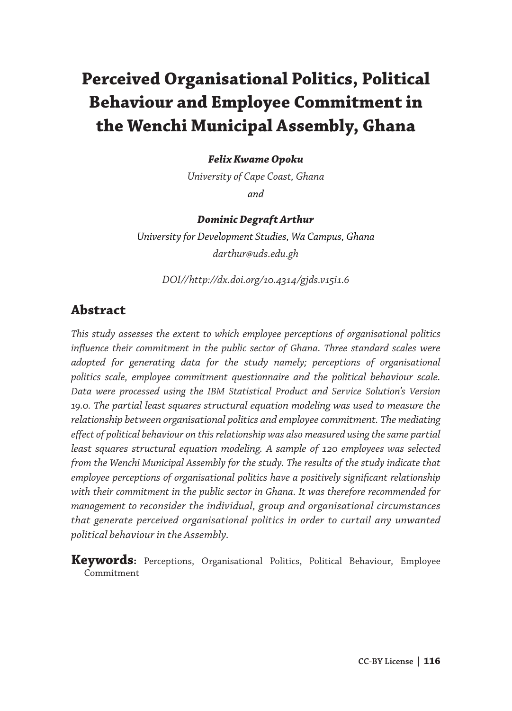# **Perceived Organisational Politics, Political Behaviour and Employee Commitment in the Wenchi Municipal Assembly, Ghana**

#### *Felix Kwame Opoku*

*University of Cape Coast, Ghana and*

#### *Dominic Degraft Arthur*

*University for Development Studies, Wa Campus, Ghana darthur@uds.edu.gh*

*DOI//http://dx.doi.org/10.4314/gjds.v15i1.6*

### **Abstract**

*This study assesses the extent to which employee perceptions of organisational politics*  influence their commitment in the public sector of Ghana. Three standard scales were *adopted for generating data for the study namely; perceptions of organisational politics scale, employee commitment questionnaire and the political behaviour scale. Data were processed using the IBM Statistical Product and Service Solution's Version 19.0. The partial least squares structural equation modeling was used to measure the relationship between organisational politics and employee commitment. The mediating effect of political behaviour on this relationship was also measured using the same partial least squares structural equation modeling. A sample of 120 employees was selected from the Wenchi Municipal Assembly for the study. The results of the study indicate that employee perceptions of organisational politics have a positively significant relationship with their commitment in the public sector in Ghana. It was therefore recommended for management to reconsider the individual, group and organisational circumstances that generate perceived organisational politics in order to curtail any unwanted political behaviour in the Assembly.*

**Keywords:** Perceptions, Organisational Politics, Political Behaviour, Employee Commitment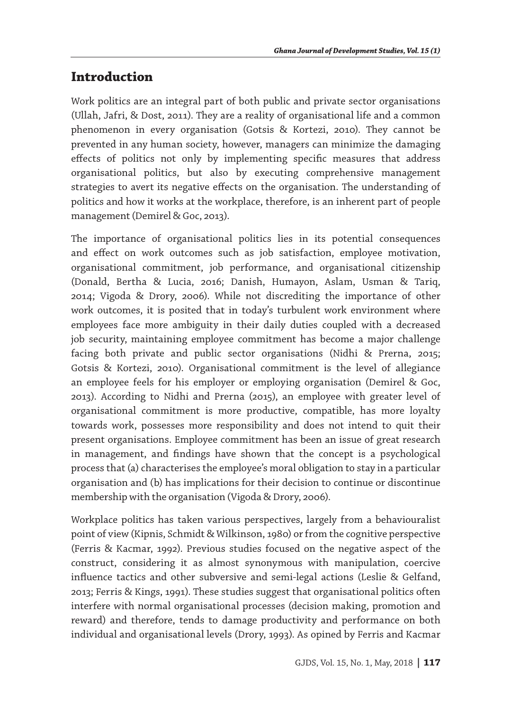# **Introduction**

Work politics are an integral part of both public and private sector organisations (Ullah, Jafri, & Dost, 2011). They are a reality of organisational life and a common phenomenon in every organisation (Gotsis & Kortezi, 2010). They cannot be prevented in any human society, however, managers can minimize the damaging effects of politics not only by implementing specific measures that address organisational politics, but also by executing comprehensive management strategies to avert its negative effects on the organisation. The understanding of politics and how it works at the workplace, therefore, is an inherent part of people management (Demirel & Goc, 2013).

The importance of organisational politics lies in its potential consequences and effect on work outcomes such as job satisfaction, employee motivation, organisational commitment, job performance, and organisational citizenship (Donald, Bertha & Lucia, 2016; Danish, Humayon, Aslam, Usman & Tariq, 2014; Vigoda & Drory, 2006). While not discrediting the importance of other work outcomes, it is posited that in today's turbulent work environment where employees face more ambiguity in their daily duties coupled with a decreased job security, maintaining employee commitment has become a major challenge facing both private and public sector organisations (Nidhi & Prerna, 2015; Gotsis & Kortezi, 2010). Organisational commitment is the level of allegiance an employee feels for his employer or employing organisation (Demirel & Goc, 2013). According to Nidhi and Prerna (2015), an employee with greater level of organisational commitment is more productive, compatible, has more loyalty towards work, possesses more responsibility and does not intend to quit their present organisations. Employee commitment has been an issue of great research in management, and findings have shown that the concept is a psychological process that (a) characterises the employee's moral obligation to stay in a particular organisation and (b) has implications for their decision to continue or discontinue membership with the organisation (Vigoda & Drory, 2006).

Workplace politics has taken various perspectives, largely from a behaviouralist point of view (Kipnis, Schmidt & Wilkinson, 1980) or from the cognitive perspective (Ferris & Kacmar, 1992). Previous studies focused on the negative aspect of the construct, considering it as almost synonymous with manipulation, coercive influence tactics and other subversive and semi-legal actions (Leslie & Gelfand, 2013; Ferris & Kings, 1991). These studies suggest that organisational politics often interfere with normal organisational processes (decision making, promotion and reward) and therefore, tends to damage productivity and performance on both individual and organisational levels (Drory, 1993). As opined by Ferris and Kacmar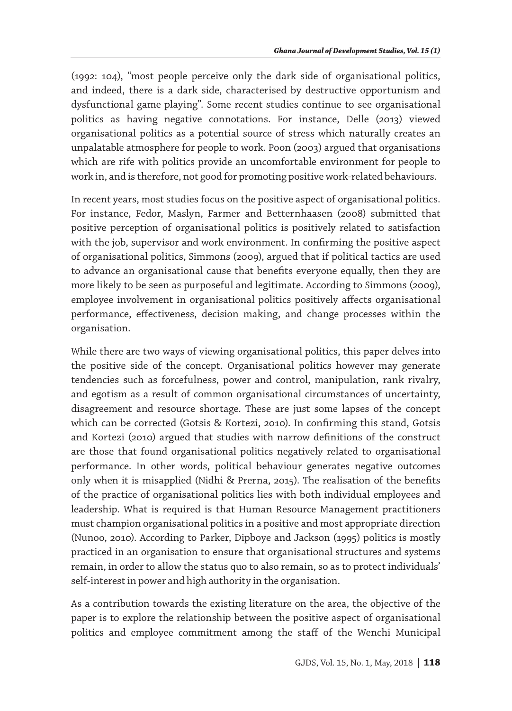(1992: 104), "most people perceive only the dark side of organisational politics, and indeed, there is a dark side, characterised by destructive opportunism and dysfunctional game playing". Some recent studies continue to see organisational politics as having negative connotations. For instance, Delle (2013) viewed organisational politics as a potential source of stress which naturally creates an unpalatable atmosphere for people to work. Poon (2003) argued that organisations which are rife with politics provide an uncomfortable environment for people to work in, and is therefore, not good for promoting positive work-related behaviours.

In recent years, most studies focus on the positive aspect of organisational politics. For instance, Fedor, Maslyn, Farmer and Betternhaasen (2008) submitted that positive perception of organisational politics is positively related to satisfaction with the job, supervisor and work environment. In confirming the positive aspect of organisational politics, Simmons (2009), argued that if political tactics are used to advance an organisational cause that benefits everyone equally, then they are more likely to be seen as purposeful and legitimate. According to Simmons (2009), employee involvement in organisational politics positively affects organisational performance, effectiveness, decision making, and change processes within the organisation.

While there are two ways of viewing organisational politics, this paper delves into the positive side of the concept. Organisational politics however may generate tendencies such as forcefulness, power and control, manipulation, rank rivalry, and egotism as a result of common organisational circumstances of uncertainty, disagreement and resource shortage. These are just some lapses of the concept which can be corrected (Gotsis & Kortezi, 2010). In confirming this stand, Gotsis and Kortezi (2010) argued that studies with narrow definitions of the construct are those that found organisational politics negatively related to organisational performance. In other words, political behaviour generates negative outcomes only when it is misapplied (Nidhi & Prerna, 2015). The realisation of the benefits of the practice of organisational politics lies with both individual employees and leadership. What is required is that Human Resource Management practitioners must champion organisational politics in a positive and most appropriate direction (Nunoo, 2010). According to Parker, Dipboye and Jackson (1995) politics is mostly practiced in an organisation to ensure that organisational structures and systems remain, in order to allow the status quo to also remain, so as to protect individuals' self-interest in power and high authority in the organisation.

As a contribution towards the existing literature on the area, the objective of the paper is to explore the relationship between the positive aspect of organisational politics and employee commitment among the staff of the Wenchi Municipal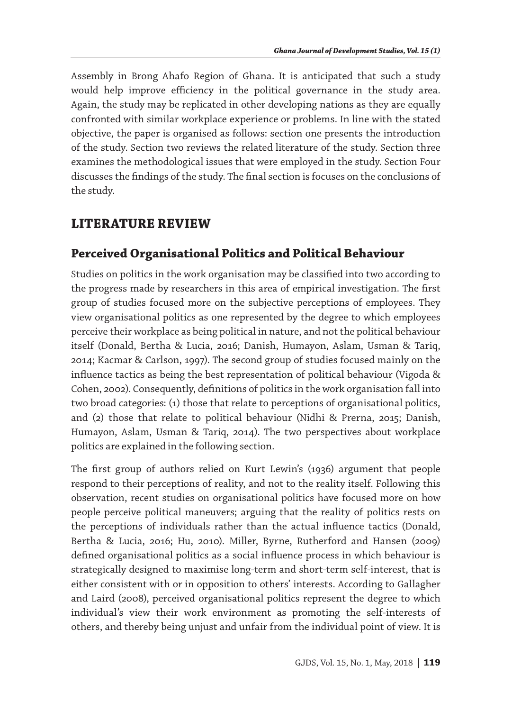Assembly in Brong Ahafo Region of Ghana. It is anticipated that such a study would help improve efficiency in the political governance in the study area. Again, the study may be replicated in other developing nations as they are equally confronted with similar workplace experience or problems. In line with the stated objective, the paper is organised as follows: section one presents the introduction of the study. Section two reviews the related literature of the study. Section three examines the methodological issues that were employed in the study. Section Four discusses the findings of the study. The final section is focuses on the conclusions of the study.

## **LITERATURE REVIEW**

### **Perceived Organisational Politics and Political Behaviour**

Studies on politics in the work organisation may be classified into two according to the progress made by researchers in this area of empirical investigation. The first group of studies focused more on the subjective perceptions of employees. They view organisational politics as one represented by the degree to which employees perceive their workplace as being political in nature, and not the political behaviour itself (Donald, Bertha & Lucia, 2016; Danish, Humayon, Aslam, Usman & Tariq, 2014; Kacmar & Carlson, 1997). The second group of studies focused mainly on the influence tactics as being the best representation of political behaviour (Vigoda & Cohen, 2002). Consequently, definitions of politics in the work organisation fall into two broad categories: (1) those that relate to perceptions of organisational politics, and (2) those that relate to political behaviour (Nidhi & Prerna, 2015; Danish, Humayon, Aslam, Usman & Tariq, 2014). The two perspectives about workplace politics are explained in the following section.

The first group of authors relied on Kurt Lewin's (1936) argument that people respond to their perceptions of reality, and not to the reality itself. Following this observation, recent studies on organisational politics have focused more on how people perceive political maneuvers; arguing that the reality of politics rests on the perceptions of individuals rather than the actual influence tactics (Donald, Bertha & Lucia, 2016; Hu, 2010). Miller, Byrne, Rutherford and Hansen (2009) defined organisational politics as a social influence process in which behaviour is strategically designed to maximise long-term and short-term self-interest, that is either consistent with or in opposition to others' interests. According to Gallagher and Laird (2008), perceived organisational politics represent the degree to which individual's view their work environment as promoting the self-interests of others, and thereby being unjust and unfair from the individual point of view. It is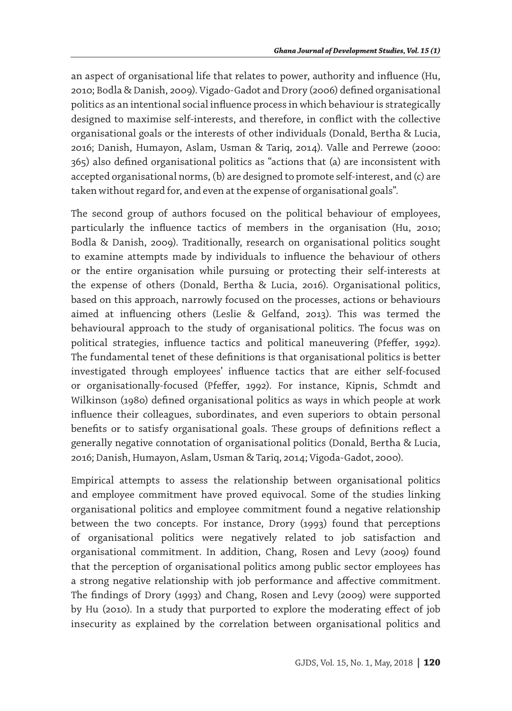an aspect of organisational life that relates to power, authority and influence (Hu, 2010; Bodla & Danish, 2009). Vigado-Gadot and Drory (2006) defined organisational politics as an intentional social influence process in which behaviour is strategically designed to maximise self-interests, and therefore, in conflict with the collective organisational goals or the interests of other individuals (Donald, Bertha & Lucia, 2016; Danish, Humayon, Aslam, Usman & Tariq, 2014). Valle and Perrewe (2000: 365) also defined organisational politics as "actions that (a) are inconsistent with accepted organisational norms, (b) are designed to promote self-interest, and (c) are taken without regard for, and even at the expense of organisational goals".

The second group of authors focused on the political behaviour of employees, particularly the influence tactics of members in the organisation (Hu, 2010; Bodla & Danish, 2009). Traditionally, research on organisational politics sought to examine attempts made by individuals to influence the behaviour of others or the entire organisation while pursuing or protecting their self-interests at the expense of others (Donald, Bertha & Lucia, 2016). Organisational politics, based on this approach, narrowly focused on the processes, actions or behaviours aimed at influencing others (Leslie & Gelfand, 2013). This was termed the behavioural approach to the study of organisational politics. The focus was on political strategies, influence tactics and political maneuvering (Pfeffer, 1992). The fundamental tenet of these definitions is that organisational politics is better investigated through employees' influence tactics that are either self-focused or organisationally-focused (Pfeffer, 1992). For instance, Kipnis, Schmdt and Wilkinson (1980) defined organisational politics as ways in which people at work influence their colleagues, subordinates, and even superiors to obtain personal benefits or to satisfy organisational goals. These groups of definitions reflect a generally negative connotation of organisational politics (Donald, Bertha & Lucia, 2016; Danish, Humayon, Aslam, Usman & Tariq, 2014; Vigoda-Gadot, 2000).

Empirical attempts to assess the relationship between organisational politics and employee commitment have proved equivocal. Some of the studies linking organisational politics and employee commitment found a negative relationship between the two concepts. For instance, Drory (1993) found that perceptions of organisational politics were negatively related to job satisfaction and organisational commitment. In addition, Chang, Rosen and Levy (2009) found that the perception of organisational politics among public sector employees has a strong negative relationship with job performance and affective commitment. The findings of Drory (1993) and Chang, Rosen and Levy (2009) were supported by Hu (2010). In a study that purported to explore the moderating effect of job insecurity as explained by the correlation between organisational politics and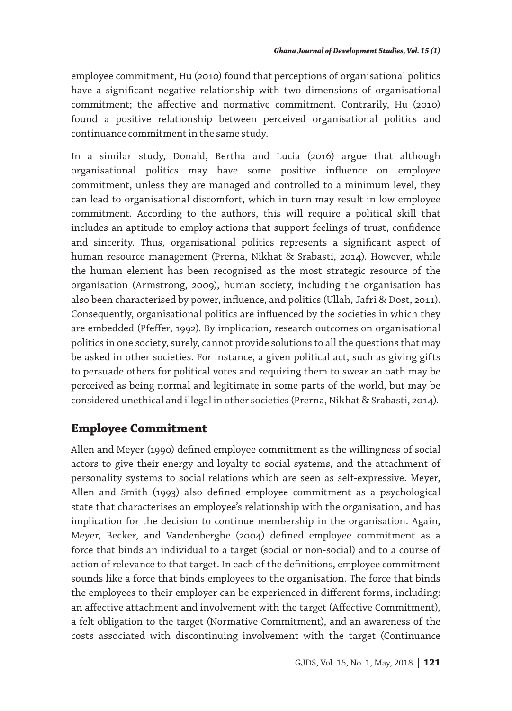employee commitment, Hu (2010) found that perceptions of organisational politics have a significant negative relationship with two dimensions of organisational commitment; the affective and normative commitment. Contrarily, Hu (2010) found a positive relationship between perceived organisational politics and continuance commitment in the same study.

In a similar study, Donald, Bertha and Lucia (2016) argue that although organisational politics may have some positive influence on employee commitment, unless they are managed and controlled to a minimum level, they can lead to organisational discomfort, which in turn may result in low employee commitment. According to the authors, this will require a political skill that includes an aptitude to employ actions that support feelings of trust, confidence and sincerity. Thus, organisational politics represents a significant aspect of human resource management (Prerna, Nikhat & Srabasti, 2014). However, while the human element has been recognised as the most strategic resource of the organisation (Armstrong, 2009), human society, including the organisation has also been characterised by power, influence, and politics (Ullah, Jafri & Dost, 2011). Consequently, organisational politics are influenced by the societies in which they are embedded (Pfeffer, 1992). By implication, research outcomes on organisational politics in one society, surely, cannot provide solutions to all the questions that may be asked in other societies. For instance, a given political act, such as giving gifts to persuade others for political votes and requiring them to swear an oath may be perceived as being normal and legitimate in some parts of the world, but may be considered unethical and illegal in other societies (Prerna, Nikhat & Srabasti, 2014).

### **Employee Commitment**

Allen and Meyer (1990) defined employee commitment as the willingness of social actors to give their energy and loyalty to social systems, and the attachment of personality systems to social relations which are seen as self-expressive. Meyer, Allen and Smith (1993) also defined employee commitment as a psychological state that characterises an employee's relationship with the organisation, and has implication for the decision to continue membership in the organisation. Again, Meyer, Becker, and Vandenberghe (2004) defined employee commitment as a force that binds an individual to a target (social or non-social) and to a course of action of relevance to that target. In each of the definitions, employee commitment sounds like a force that binds employees to the organisation. The force that binds the employees to their employer can be experienced in different forms, including: an affective attachment and involvement with the target (Affective Commitment), a felt obligation to the target (Normative Commitment), and an awareness of the costs associated with discontinuing involvement with the target (Continuance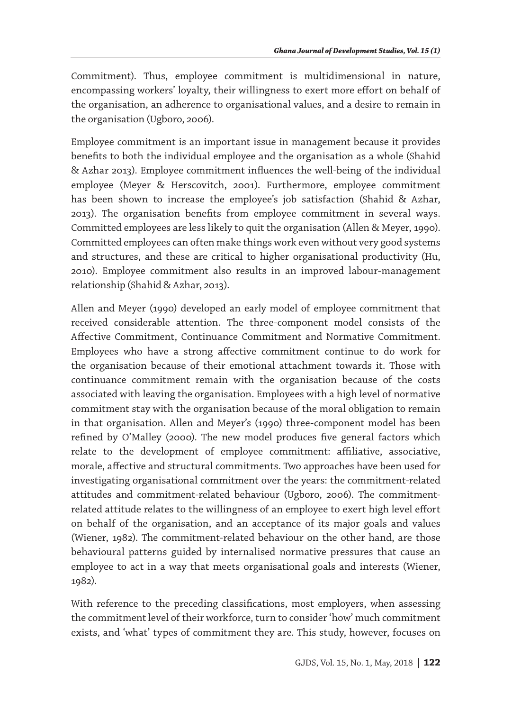Commitment). Thus, employee commitment is multidimensional in nature, encompassing workers' loyalty, their willingness to exert more effort on behalf of the organisation, an adherence to organisational values, and a desire to remain in the organisation (Ugboro, 2006).

Employee commitment is an important issue in management because it provides benefits to both the individual employee and the organisation as a whole (Shahid & Azhar 2013). Employee commitment influences the well-being of the individual employee (Meyer & Herscovitch, 2001). Furthermore, employee commitment has been shown to increase the employee's job satisfaction (Shahid & Azhar, 2013). The organisation benefits from employee commitment in several ways. Committed employees are less likely to quit the organisation (Allen & Meyer, 1990). Committed employees can often make things work even without very good systems and structures, and these are critical to higher organisational productivity (Hu, 2010). Employee commitment also results in an improved labour-management relationship (Shahid & Azhar, 2013).

Allen and Meyer (1990) developed an early model of employee commitment that received considerable attention. The three-component model consists of the Affective Commitment, Continuance Commitment and Normative Commitment. Employees who have a strong affective commitment continue to do work for the organisation because of their emotional attachment towards it. Those with continuance commitment remain with the organisation because of the costs associated with leaving the organisation. Employees with a high level of normative commitment stay with the organisation because of the moral obligation to remain in that organisation. Allen and Meyer's (1990) three-component model has been refined by O'Malley (2000). The new model produces five general factors which relate to the development of employee commitment: affiliative, associative, morale, affective and structural commitments. Two approaches have been used for investigating organisational commitment over the years: the commitment-related attitudes and commitment-related behaviour (Ugboro, 2006). The commitmentrelated attitude relates to the willingness of an employee to exert high level effort on behalf of the organisation, and an acceptance of its major goals and values (Wiener, 1982). The commitment-related behaviour on the other hand, are those behavioural patterns guided by internalised normative pressures that cause an employee to act in a way that meets organisational goals and interests (Wiener, 1982).

With reference to the preceding classifications, most employers, when assessing the commitment level of their workforce, turn to consider 'how' much commitment exists, and 'what' types of commitment they are. This study, however, focuses on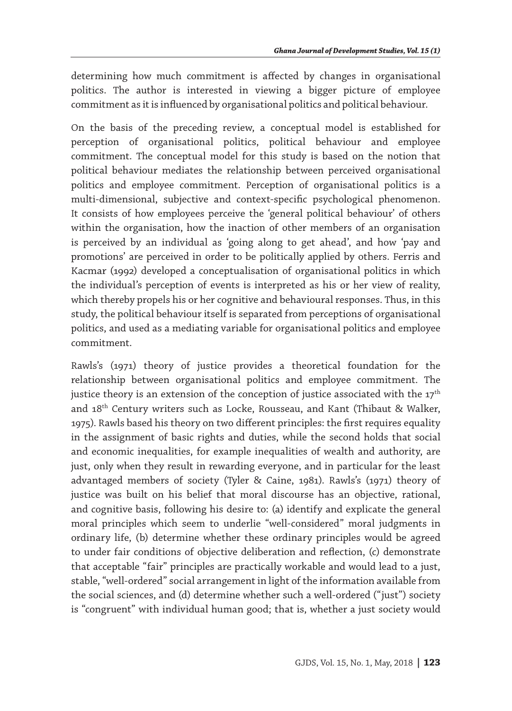determining how much commitment is affected by changes in organisational politics. The author is interested in viewing a bigger picture of employee commitment as it is influenced by organisational politics and political behaviour.

On the basis of the preceding review, a conceptual model is established for perception of organisational politics, political behaviour and employee commitment. The conceptual model for this study is based on the notion that political behaviour mediates the relationship between perceived organisational politics and employee commitment. Perception of organisational politics is a multi-dimensional, subjective and context-specific psychological phenomenon. It consists of how employees perceive the 'general political behaviour' of others within the organisation, how the inaction of other members of an organisation is perceived by an individual as 'going along to get ahead', and how 'pay and promotions' are perceived in order to be politically applied by others. Ferris and Kacmar (1992) developed a conceptualisation of organisational politics in which the individual's perception of events is interpreted as his or her view of reality, which thereby propels his or her cognitive and behavioural responses. Thus, in this study, the political behaviour itself is separated from perceptions of organisational politics, and used as a mediating variable for organisational politics and employee commitment.

Rawls's (1971) theory of justice provides a theoretical foundation for the relationship between organisational politics and employee commitment. The justice theory is an extension of the conception of justice associated with the  $17<sup>th</sup>$ and 18th Century writers such as Locke, Rousseau, and Kant (Thibaut & Walker, 1975). Rawls based his theory on two different principles: the first requires equality in the assignment of basic rights and duties, while the second holds that social and economic inequalities, for example inequalities of wealth and authority, are just, only when they result in rewarding everyone, and in particular for the least advantaged members of society (Tyler & Caine, 1981). Rawls's (1971) theory of justice was built on his belief that moral discourse has an objective, rational, and cognitive basis, following his desire to: (a) identify and explicate the general moral principles which seem to underlie "well-considered" moral judgments in ordinary life, (b) determine whether these ordinary principles would be agreed to under fair conditions of objective deliberation and reflection, (c) demonstrate that acceptable "fair" principles are practically workable and would lead to a just, stable, "well-ordered" social arrangement in light of the information available from the social sciences, and (d) determine whether such a well-ordered ("just") society is "congruent" with individual human good; that is, whether a just society would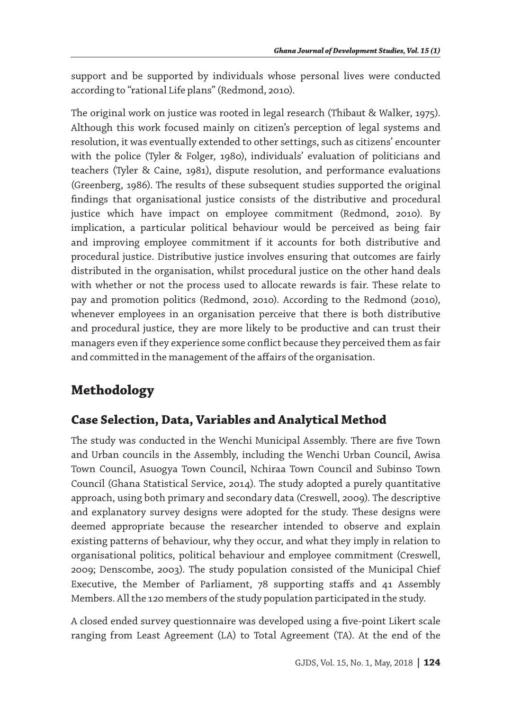support and be supported by individuals whose personal lives were conducted according to "rational Life plans" (Redmond, 2010).

The original work on justice was rooted in legal research (Thibaut & Walker, 1975). Although this work focused mainly on citizen's perception of legal systems and resolution, it was eventually extended to other settings, such as citizens' encounter with the police (Tyler & Folger, 1980), individuals' evaluation of politicians and teachers (Tyler & Caine, 1981), dispute resolution, and performance evaluations (Greenberg, 1986). The results of these subsequent studies supported the original findings that organisational justice consists of the distributive and procedural justice which have impact on employee commitment (Redmond, 2010). By implication, a particular political behaviour would be perceived as being fair and improving employee commitment if it accounts for both distributive and procedural justice. Distributive justice involves ensuring that outcomes are fairly distributed in the organisation, whilst procedural justice on the other hand deals with whether or not the process used to allocate rewards is fair. These relate to pay and promotion politics (Redmond, 2010). According to the Redmond (2010), whenever employees in an organisation perceive that there is both distributive and procedural justice, they are more likely to be productive and can trust their managers even if they experience some conflict because they perceived them as fair and committed in the management of the affairs of the organisation.

# **Methodology**

# **Case Selection, Data, Variables and Analytical Method**

The study was conducted in the Wenchi Municipal Assembly. There are five Town and Urban councils in the Assembly, including the Wenchi Urban Council, Awisa Town Council, Asuogya Town Council, Nchiraa Town Council and Subinso Town Council (Ghana Statistical Service, 2014). The study adopted a purely quantitative approach, using both primary and secondary data (Creswell, 2009). The descriptive and explanatory survey designs were adopted for the study. These designs were deemed appropriate because the researcher intended to observe and explain existing patterns of behaviour, why they occur, and what they imply in relation to organisational politics, political behaviour and employee commitment (Creswell, 2009; Denscombe, 2003). The study population consisted of the Municipal Chief Executive, the Member of Parliament, 78 supporting staffs and 41 Assembly Members. All the 120 members of the study population participated in the study.

A closed ended survey questionnaire was developed using a five-point Likert scale ranging from Least Agreement (LA) to Total Agreement (TA). At the end of the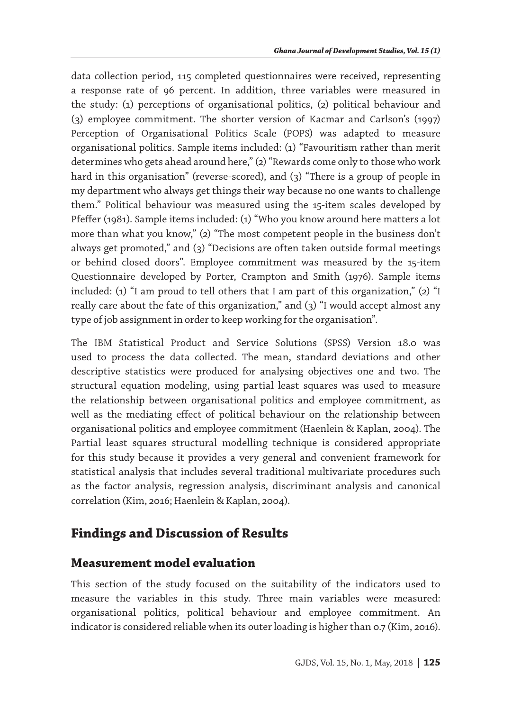data collection period, 115 completed questionnaires were received, representing a response rate of 96 percent. In addition, three variables were measured in the study: (1) perceptions of organisational politics, (2) political behaviour and (3) employee commitment. The shorter version of Kacmar and Carlson's (1997) Perception of Organisational Politics Scale (POPS) was adapted to measure organisational politics. Sample items included: (1) "Favouritism rather than merit determines who gets ahead around here," (2) "Rewards come only to those who work hard in this organisation" (reverse-scored), and (3) "There is a group of people in my department who always get things their way because no one wants to challenge them." Political behaviour was measured using the 15-item scales developed by Pfeffer (1981). Sample items included: (1) "Who you know around here matters a lot more than what you know," (2) "The most competent people in the business don't always get promoted," and (3) "Decisions are often taken outside formal meetings or behind closed doors". Employee commitment was measured by the 15-item Questionnaire developed by Porter, Crampton and Smith (1976). Sample items included: (1) "I am proud to tell others that I am part of this organization," (2) "I really care about the fate of this organization," and (3) "I would accept almost any type of job assignment in order to keep working for the organisation".

The IBM Statistical Product and Service Solutions (SPSS) Version 18.0 was used to process the data collected. The mean, standard deviations and other descriptive statistics were produced for analysing objectives one and two. The structural equation modeling, using partial least squares was used to measure the relationship between organisational politics and employee commitment, as well as the mediating effect of political behaviour on the relationship between organisational politics and employee commitment (Haenlein & Kaplan, 2004). The Partial least squares structural modelling technique is considered appropriate for this study because it provides a very general and convenient framework for statistical analysis that includes several traditional multivariate procedures such as the factor analysis, regression analysis, discriminant analysis and canonical correlation (Kim, 2016; Haenlein & Kaplan, 2004).

## **Findings and Discussion of Results**

#### **Measurement model evaluation**

This section of the study focused on the suitability of the indicators used to measure the variables in this study. Three main variables were measured: organisational politics, political behaviour and employee commitment. An indicator is considered reliable when its outer loading is higher than 0.7 (Kim, 2016).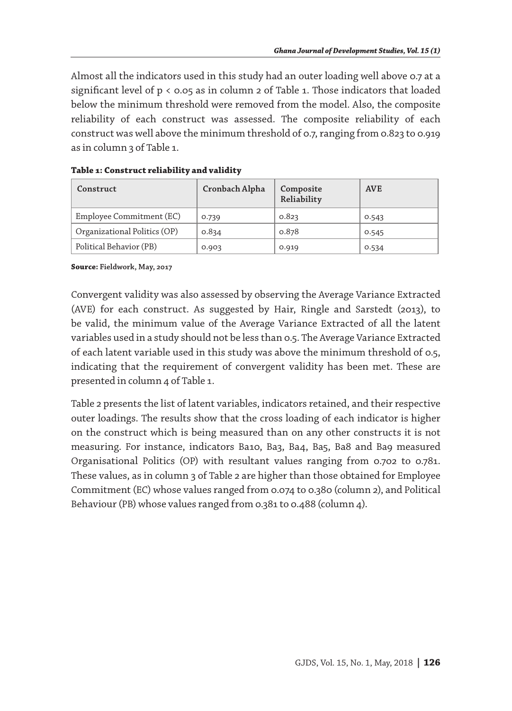Almost all the indicators used in this study had an outer loading well above 0.7 at a significant level of  $p \lt 0.05$  as in column 2 of Table 1. Those indicators that loaded below the minimum threshold were removed from the model. Also, the composite reliability of each construct was assessed. The composite reliability of each construct was well above the minimum threshold of 0.7, ranging from 0.823 to 0.919 as in column 3 of Table 1.

| Construct                    | Cronbach Alpha | Composite<br>Reliability | <b>AVE</b> |
|------------------------------|----------------|--------------------------|------------|
| Employee Commitment (EC)     | 0.739          | 0.823                    | 0.543      |
| Organizational Politics (OP) | 0.834          | 0.878                    | 0.545      |
| Political Behavior (PB)      | 0.903          | 0.919                    | 0.534      |

#### **Table 1: Construct reliability and validity**

**Source: Fieldwork, May, 2017**

Convergent validity was also assessed by observing the Average Variance Extracted (AVE) for each construct. As suggested by Hair, Ringle and Sarstedt (2013), to be valid, the minimum value of the Average Variance Extracted of all the latent variables used in a study should not be less than 0.5. The Average Variance Extracted of each latent variable used in this study was above the minimum threshold of 0.5, indicating that the requirement of convergent validity has been met. These are presented in column 4 of Table 1.

Table 2 presents the list of latent variables, indicators retained, and their respective outer loadings. The results show that the cross loading of each indicator is higher on the construct which is being measured than on any other constructs it is not measuring. For instance, indicators Ba10, Ba3, Ba4, Ba5, Ba8 and Ba9 measured Organisational Politics (OP) with resultant values ranging from 0.702 to 0.781. These values, as in column 3 of Table 2 are higher than those obtained for Employee Commitment (EC) whose values ranged from 0.074 to 0.380 (column 2), and Political Behaviour (PB) whose values ranged from 0.381 to 0.488 (column 4).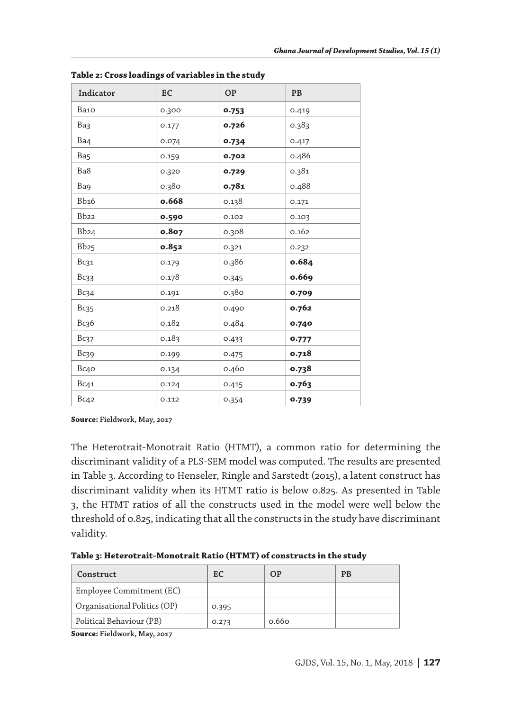| Indicator        | EC    | <b>OP</b> | PB    |
|------------------|-------|-----------|-------|
| Ba10             | 0.300 | 0.753     | 0.419 |
| Ваз              | 0.177 | 0.726     | 0.383 |
| Ba4              | 0.074 | 0.734     | 0.417 |
| Ba5              | 0.159 | 0.702     | 0.486 |
| Ba8              | 0.320 | 0.729     | 0.381 |
| Ba9              | 0.380 | 0.781     | 0.488 |
| Bb <sub>16</sub> | 0.668 | 0.138     | 0.171 |
| Bb <sub>22</sub> | 0.590 | 0.102     | 0.103 |
| Bb24             | 0.807 | 0.308     | 0.162 |
| Bb25             | 0.852 | 0.321     | 0.232 |
| Bc31             | 0.179 | 0.386     | 0.684 |
| <b>Bc33</b>      | 0.178 | 0.345     | 0.669 |
| Bc34             | 0.191 | 0.380     | 0.709 |
| Bc35             | 0.218 | 0.490     | 0.762 |
| Bc36             | 0.182 | 0.484     | 0.740 |
| Bc <sub>37</sub> | 0.183 | 0.433     | 0.777 |
| <b>Bc39</b>      | 0.199 | 0.475     | 0.718 |
| Bc40             | 0.134 | 0.460     | 0.738 |
| Bc41             | 0.124 | 0.415     | 0.763 |
| Bc42             | 0.112 | 0.354     | 0.739 |

**Table 2: Cross loadings of variables in the study**

**Source: Fieldwork, May, 2017**

The Heterotrait-Monotrait Ratio (HTMT), a common ratio for determining the discriminant validity of a PLS-SEM model was computed. The results are presented in Table 3. According to Henseler, Ringle and Sarstedt (2015), a latent construct has discriminant validity when its HTMT ratio is below 0.825. As presented in Table 3, the HTMT ratios of all the constructs used in the model were well below the threshold of 0.825, indicating that all the constructs in the study have discriminant validity.

|  | Table 3: Heterotrait-Monotrait Ratio (HTMT) of constructs in the study |
|--|------------------------------------------------------------------------|
|--|------------------------------------------------------------------------|

| Construct                    | EC    | OΡ    | <b>PB</b> |
|------------------------------|-------|-------|-----------|
| Employee Commitment (EC)     |       |       |           |
| Organisational Politics (OP) | 0.395 |       |           |
| Political Behaviour (PB)     | 0.273 | 0.660 |           |

**Source: Fieldwork, May, 2017**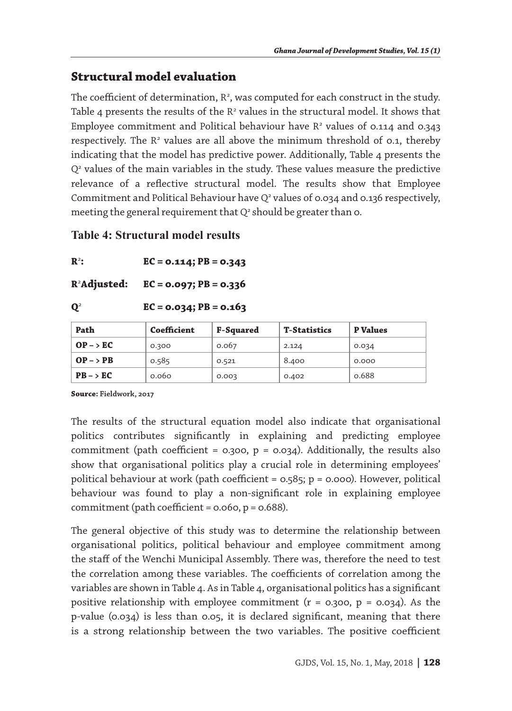## **Structural model evaluation**

The coefficient of determination,  $R^2$ , was computed for each construct in the study. Table 4 presents the results of the  $\mathbb{R}^2$  values in the structural model. It shows that Employee commitment and Political behaviour have  $R^2$  values of 0.114 and 0.343 respectively. The  $\mathbb{R}^2$  values are all above the minimum threshold of 0.1, thereby indicating that the model has predictive power. Additionally, Table 4 presents the Q<sup>2</sup> values of the main variables in the study. These values measure the predictive relevance of a reflective structural model. The results show that Employee Commitment and Political Behaviour have  $Q^2$  values of 0.034 and 0.136 respectively, meeting the general requirement that  $\mathrm{Q}^\mathsf{z}$  should be greater than 0.

#### **Table 4: Structural model results**

 $\mathbb{R}^2$ : **: EC = 0.114; PB = 0.343**

**R**<sup>2</sup>**Adjusted: Adjusted: EC = 0.097; PB = 0.336**

| $\mathbf{Q}^2$ | $EC = 0.034; PB = 0.163$ |  |
|----------------|--------------------------|--|
|----------------|--------------------------|--|

| Path                | Coefficient | <b>F-Squared</b> | <b>T-Statistics</b> | <b>P</b> Values |
|---------------------|-------------|------------------|---------------------|-----------------|
| $OP \rightarrow EC$ | 0.300       | 0.067            | 2.124               | 0.034           |
| $OP \rightarrow PB$ | 0.585       | 0.521            | 8.400               | 0.000           |
| $PB - > EC$         | 0.060       | 0.003            | 0.402               | 0.688           |

**Source: Fieldwork, 2017**

The results of the structural equation model also indicate that organisational politics contributes significantly in explaining and predicting employee commitment (path coefficient = 0.300,  $p = 0.034$ ). Additionally, the results also show that organisational politics play a crucial role in determining employees' political behaviour at work (path coefficient = 0.585; p = 0.000). However, political behaviour was found to play a non-significant role in explaining employee commitment (path coefficient =  $0.060$ ,  $p = 0.688$ ).

The general objective of this study was to determine the relationship between organisational politics, political behaviour and employee commitment among the staff of the Wenchi Municipal Assembly. There was, therefore the need to test the correlation among these variables. The coefficients of correlation among the variables are shown in Table 4. As in Table 4, organisational politics has a significant positive relationship with employee commitment ( $r = 0.300$ ,  $p = 0.034$ ). As the p-value (0.034) is less than 0.05, it is declared significant, meaning that there is a strong relationship between the two variables. The positive coefficient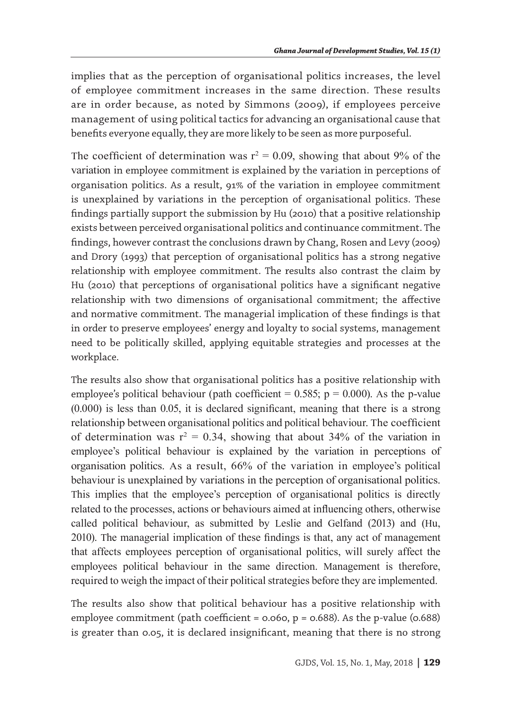implies that as the perception of organisational politics increases, the level of employee commitment increases in the same direction. These results are in order because, as noted by Simmons (2009), if employees perceive management of using political tactics for advancing an organisational cause that benefits everyone equally, they are more likely to be seen as more purposeful.

The coefficient of determination was  $r^2 = 0.09$ , showing that about 9% of the variation in employee commitment is explained by the variation in perceptions of organisation politics. As a result, 91% of the variation in employee commitment is unexplained by variations in the perception of organisational politics. These findings partially support the submission by Hu (2010) that a positive relationship exists between perceived organisational politics and continuance commitment. The findings, however contrast the conclusions drawn by Chang, Rosen and Levy (2009) and Drory (1993) that perception of organisational politics has a strong negative relationship with employee commitment. The results also contrast the claim by Hu (2010) that perceptions of organisational politics have a significant negative relationship with two dimensions of organisational commitment; the affective and normative commitment. The managerial implication of these findings is that in order to preserve employees' energy and loyalty to social systems, management need to be politically skilled, applying equitable strategies and processes at the workplace.

The results also show that organisational politics has a positive relationship with employee's political behaviour (path coefficient =  $0.585$ ; p =  $0.000$ ). As the p-value (0.000) is less than 0.05, it is declared significant, meaning that there is a strong relationship between organisational politics and political behaviour. The coefficient of determination was  $r^2 = 0.34$ , showing that about 34% of the variation in employee's political behaviour is explained by the variation in perceptions of organisation politics. As a result, 66% of the variation in employee's political behaviour is unexplained by variations in the perception of organisational politics. This implies that the employee's perception of organisational politics is directly related to the processes, actions or behaviours aimed at influencing others, otherwise called political behaviour, as submitted by Leslie and Gelfand (2013) and (Hu, 2010). The managerial implication of these findings is that, any act of management that affects employees perception of organisational politics, will surely affect the employees political behaviour in the same direction. Management is therefore, required to weigh the impact of their political strategies before they are implemented.

The results also show that political behaviour has a positive relationship with employee commitment (path coefficient = 0.060,  $p = 0.688$ ). As the p-value (0.688) is greater than 0.05, it is declared insignificant, meaning that there is no strong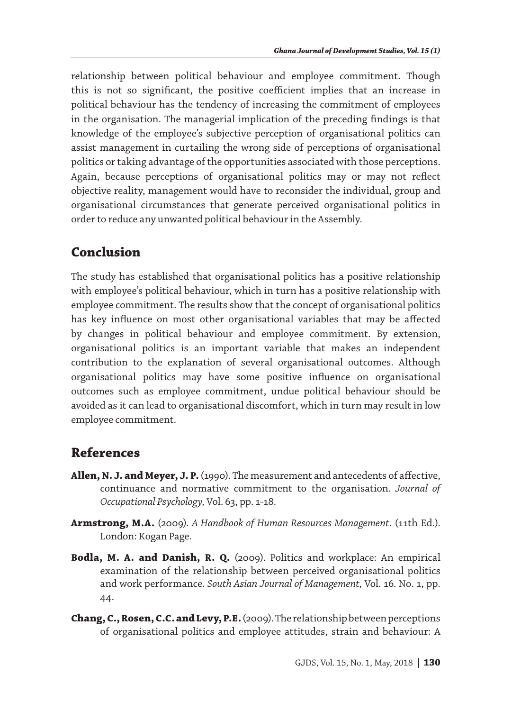relationship between political behaviour and employee commitment. Though this is not so significant, the positive coefficient implies that an increase in political behaviour has the tendency of increasing the commitment of employees in the organisation. The managerial implication of the preceding findings is that knowledge of the employee's subjective perception of organisational politics can assist management in curtailing the wrong side of perceptions of organisational politics or taking advantage of the opportunities associated with those perceptions. Again, because perceptions of organisational politics may or may not reflect objective reality, management would have to reconsider the individual, group and organisational circumstances that generate perceived organisational politics in order to reduce any unwanted political behaviour in the Assembly.

# **Conclusion**

The study has established that organisational politics has a positive relationship with employee's political behaviour, which in turn has a positive relationship with employee commitment. The results show that the concept of organisational politics has key influence on most other organisational variables that may be affected by changes in political behaviour and employee commitment. By extension, organisational politics is an important variable that makes an independent contribution to the explanation of several organisational outcomes. Although organisational politics may have some positive influence on organisational outcomes such as employee commitment, undue political behaviour should be avoided as it can lead to organisational discomfort, which in turn may result in low employee commitment.

### **References**

- **Allen, N. J. and Meyer, J. P.** (1990). The measurement and antecedents of affective, continuance and normative commitment to the organisation. *Journal of Occupational Psychology,* Vol. 63, pp. 1-18.
- **Armstrong, M.A.** (2009). *A Handbook of Human Resources Management*. (11th Ed.). London: Kogan Page.
- **Bodla, M. A. and Danish, R. Q.** (2009). Politics and workplace: An empirical examination of the relationship between perceived organisational politics and work performance. *South Asian Journal of Management,* Vol. 16. No. 1, pp. 44.
- **Chang, C., Rosen, C.C. and Levy, P.E.** (2009). The relationship between perceptions of organisational politics and employee attitudes, strain and behaviour: A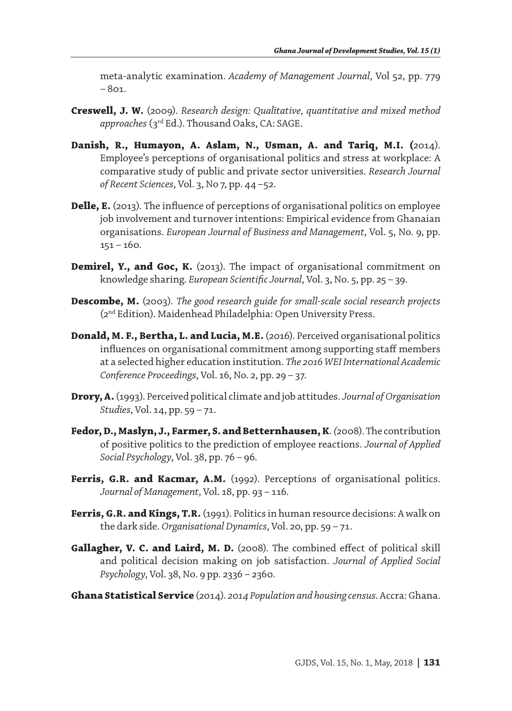meta-analytic examination. *Academy of Management Journal*, Vol 52, pp. 779 – 801.

- **Creswell, J. W.** (2009). *Research design: Qualitative, quantitative and mixed method approaches* (3rd Ed.). Thousand Oaks, CA: SAGE.
- **Danish, R., Humayon, A. Aslam, N., Usman, A. and Tariq, M.I. (**2014). Employee's perceptions of organisational politics and stress at workplace: A comparative study of public and private sector universities. *Research Journal of Recent Sciences*, Vol. 3, No 7, pp. 44 –52.
- **Delle, E.** (2013). The influence of perceptions of organisational politics on employee job involvement and turnover intentions: Empirical evidence from Ghanaian organisations. *European Journal of Business and Management*, Vol. 5, No. 9, pp.  $151 - 160$ .
- **Demirel, Y., and Goc, K.** (2013). The impact of organisational commitment on knowledge sharing. *European Scientific Journal*, Vol. 3, No. 5, pp. 25 – 39.
- **Descombe, M.** (2003). *The good research guide for small-scale social research projects*  (2nd Edition). Maidenhead Philadelphia: Open University Press.
- **Donald, M. F., Bertha, L. and Lucia, M.E.** (2016). Perceived organisational politics influences on organisational commitment among supporting staff members at a selected higher education institution. *The 2016 WEI International Academic Conference Proceedings*, Vol. 16, No. 2, pp. 29 – 37.
- **Drory, A.** (1993). Perceived political climate and job attitudes. *Journal of Organisation Studies*, Vol. 14, pp. 59 – 71.
- **Fedor, D., Maslyn, J., Farmer, S. and Betternhausen, K***. (*2008). The contribution of positive politics to the prediction of employee reactions. *Journal of Applied Social Psychology*, Vol. 38, pp. 76 – 96.
- Ferris, G.R. and Kacmar, A.M. (1992). Perceptions of organisational politics. *Journal of Management*, Vol. 18, pp. 93 – 116.
- **Ferris, G.R. and Kings, T.R.** (1991). Politics in human resource decisions: A walk on the dark side. *Organisational Dynamics*, Vol. 20, pp. 59 – 71.
- **Gallagher, V. C. and Laird, M. D.** (2008). The combined effect of political skill and political decision making on job satisfaction. *Journal of Applied Social Psychology*, Vol. 38, No. 9 pp. 2336 – 2360.

**Ghana Statistical Service** (2014). *2014 Population and housing census*. Accra: Ghana.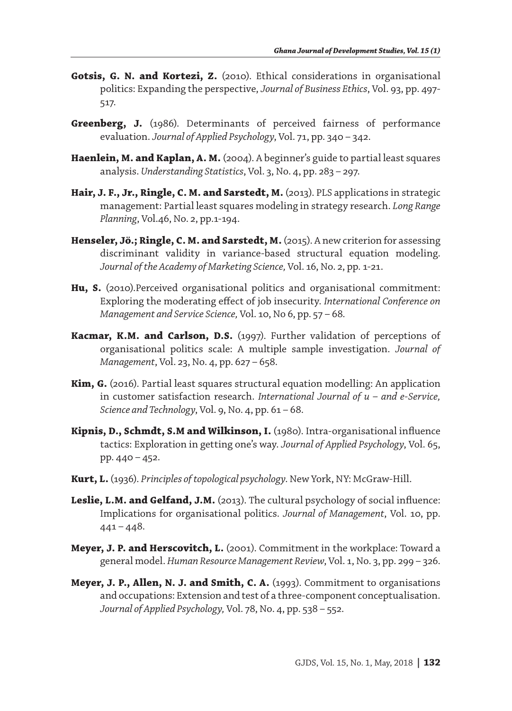- Gotsis, G. N. and Kortezi, Z. (2010). Ethical considerations in organisational politics: Expanding the perspective, *Journal of Business Ethics*, Vol. 93, pp. 497- 517.
- **Greenberg, J.** (1986). Determinants of perceived fairness of performance evaluation. *Journal of Applied Psychology*, Vol. 71, pp. 340 – 342.
- Haenlein, M. and Kaplan, A. M. (2004). A beginner's guide to partial least squares analysis. *Understanding Statistics*, Vol. 3, No. 4, pp. 283 – 297.
- Hair, J. F., Jr., Ringle, C. M. and Sarstedt, M. (2013). PLS applications in strategic management: Partial least squares modeling in strategy research. *Long Range Planning*, Vol.46, No. 2, pp.1-194.
- Henseler, Jö.; Ringle, C. M. and Sarstedt, M. (2015). A new criterion for assessing discriminant validity in variance-based structural equation modeling. *Journal of the Academy of Marketing Science,* Vol. 16, No. 2, pp*.* 1-21.
- **Hu, S.** (2010).Perceived organisational politics and organisational commitment: Exploring the moderating effect of job insecurity. *International Conference on Management and Service Science,* Vol. 10, No 6, pp. 57 – 68*.*
- **Kacmar, K.M. and Carlson, D.S.** (1997). Further validation of perceptions of organisational politics scale: A multiple sample investigation. *Journal of Management*, Vol. 23, No. 4, pp. 627 – 658.
- **Kim, G.** (2016). Partial least squares structural equation modelling: An application in customer satisfaction research. *International Journal of u – and e-Service, Science and Technology*, Vol. 9, No. 4, pp. 61 – 68.
- **Kipnis, D., Schmdt, S.M and Wilkinson, I.** (1980). Intra-organisational influence tactics: Exploration in getting one's way. *Journal of Applied Psychology*, Vol. 65, pp. 440 – 452.
- **Kurt, L.** (1936). *Principles of topological psychology*. New York, NY: McGraw-Hill.
- **Leslie, L.M. and Gelfand, J.M.** (2013). The cultural psychology of social influence: Implications for organisational politics. *Journal of Management*, Vol. 10, pp.  $441 - 448.$
- **Meyer, J. P. and Herscovitch, L.** (2001). Commitment in the workplace: Toward a general model. *Human Resource Management Review*, Vol. 1, No. 3, pp. 299 – 326.
- **Meyer, J. P., Allen, N. J. and Smith, C. A.** (1993). Commitment to organisations and occupations: Extension and test of a three-component conceptualisation. *Journal of Applied Psychology,* Vol. 78, No. 4, pp. 538 – 552.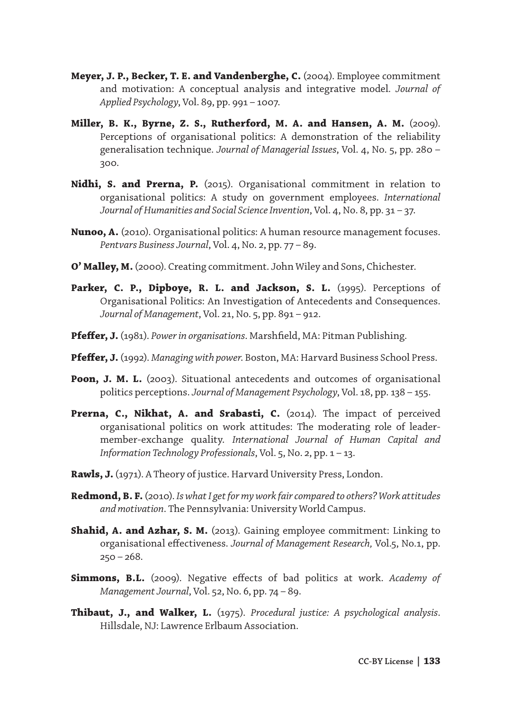- **Meyer, J. P., Becker, T. E. and Vandenberghe, C.** (2004). Employee commitment and motivation: A conceptual analysis and integrative model*. Journal of Applied Psychology*, Vol. 89, pp. 991 – 1007.
- **Miller, B. K., Byrne, Z. S., Rutherford, M. A. and Hansen, A. M.** (2009). Perceptions of organisational politics: A demonstration of the reliability generalisation technique. *Journal of Managerial Issues*, Vol. 4, No. 5, pp. 280 – 300.
- **Nidhi, S. and Prerna, P.** (2015). Organisational commitment in relation to organisational politics: A study on government employees. *International Journal of Humanities and Social Science Invention*, Vol. 4, No. 8, pp. 31 – 37.
- **Nunoo, A.** (2010). Organisational politics: A human resource management focuses. *Pentvars Business Journal*, Vol. 4, No. 2, pp. 77 – 89.
- **O' Malley, M.** (2000). Creating commitment. John Wiley and Sons, Chichester.
- Parker, C. P., Dipboye, R. L. and Jackson, S. L. (1995). Perceptions of Organisational Politics: An Investigation of Antecedents and Consequences. *Journal of Management*, Vol. 21, No. 5, pp. 891 – 912.
- **Pfeffer, J.** (1981). *Power in organisations*. Marshfield, MA: Pitman Publishing.
- **Pfeffer, J.** (1992). *Managing with power*. Boston, MA: Harvard Business School Press.
- **Poon, J. M. L.** (2003). Situational antecedents and outcomes of organisational politics perceptions. *Journal of Management Psychology*, Vol. 18, pp. 138 – 155.
- **Prerna, C., Nikhat, A. and Srabasti, C.** (2014). The impact of perceived organisational politics on work attitudes: The moderating role of leadermember-exchange quality. *International Journal of Human Capital and Information Technology Professionals*, Vol. 5, No. 2, pp. 1 – 13.
- **Rawls, J.** (1971). A Theory of justice. Harvard University Press, London.
- **Redmond, B. F.** (2010). *Is what I get for my work fair compared to others? Work attitudes and motivation*. The Pennsylvania: University World Campus.
- **Shahid, A. and Azhar, S. M.** (2013). Gaining employee commitment: Linking to organisational effectiveness. *Journal of Management Research,* Vol.5, No.1, pp.  $250 - 268$ .
- **Simmons, B.L.** (2009). Negative effects of bad politics at work. *Academy of Management Journal*, Vol. 52, No. 6, pp. 74 – 89.
- **Thibaut, J., and Walker, L.** (1975). *Procedural justice: A psychological analysis*. Hillsdale, NJ: Lawrence Erlbaum Association.